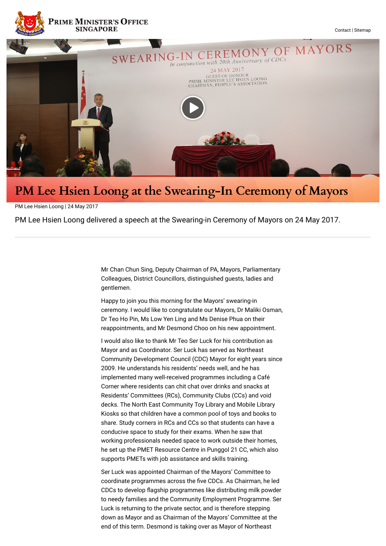

## **PM Lee Hsien Loong at the Swearing-In Ceremony of Mayors**

PM Lee Hsien Loong | 24 May 2017

PM Lee Hsien Loong delivered a speech at the Swearing-in Ceremony of Mayors on 24 May 2017.

Mr Chan Chun Sing, Deputy Chairman of PA, Mayors, Parliamentary Colleagues, District Councillors, distinguished guests, ladies and gentlemen.

Happy to join you this morning for the Mayors' swearing-in ceremony. I would like to congratulate our Mayors, Dr Maliki Osman, Dr Teo Ho Pin, Ms Low Yen Ling and Ms Denise Phua on their reappointments, and Mr Desmond Choo on his new appointment.

I would also like to thank Mr Teo Ser Luck for his contribution as Mayor and as Coordinator. Ser Luck has served as Northeast Community Development Council (CDC) Mayor for eight years since 2009. He understands his residents' needs well, and he has implemented many well-received programmes including a Café Corner where residents can chit chat over drinks and snacks at Residents' Committees (RCs), Community Clubs (CCs) and void decks. The North East Community Toy Library and Mobile Library Kiosks so that children have a common pool of toys and books to share. Study corners in RCs and CCs so that students can have a conducive space to study for their exams. When he saw that working professionals needed space to work outside their homes, he set up the PMET Resource Centre in Punggol 21 CC, which also supports PMETs with job assistance and skills training.

Ser Luck was appointed Chairman of the Mayors' Committee to coordinate programmes across the five CDCs. As Chairman, he led CDCs to develop flagship programmes like distributing milk powder to needy families and the Community Employment Programme. Ser Luck is returning to the private sector, and is therefore stepping down as Mayor and as Chairman of the Mayors' Committee at the end of this term. Desmond is taking over as Mayor of Northeast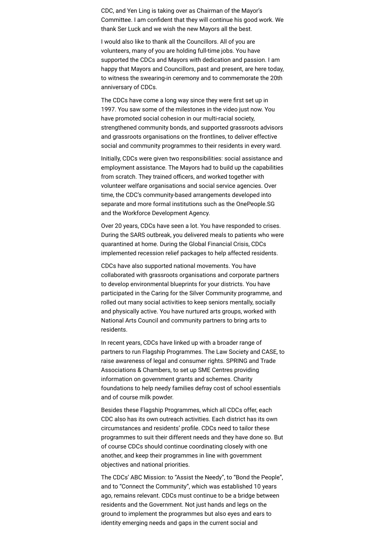CDC, and Yen Ling is taking over as Chairman of the Mayor's Committee. I am confident that they will continue his good work. We thank Ser Luck and we wish the new Mayors all the best.

I would also like to thank all the Councillors. All of you are volunteers, many of you are holding full-time jobs. You have supported the CDCs and Mayors with dedication and passion. I am happy that Mayors and Councillors, past and present, are here today, to witness the swearing-in ceremony and to commemorate the 20th anniversary of CDCs.

The CDCs have come a long way since they were first set up in 1997. You saw some of the milestones in the video just now. You have promoted social cohesion in our multi-racial society, strengthened community bonds, and supported grassroots advisors and grassroots organisations on the frontlines, to deliver effective social and community programmes to their residents in every ward.

Initially, CDCs were given two responsibilities: social assistance and employment assistance. The Mayors had to build up the capabilities from scratch. They trained officers, and worked together with volunteer welfare organisations and social service agencies. Over time, the CDC's community-based arrangements developed into separate and more formal institutions such as the OnePeople.SG and the Workforce Development Agency.

Over 20 years, CDCs have seen a lot. You have responded to crises. During the SARS outbreak, you delivered meals to patients who were quarantined at home. During the Global Financial Crisis, CDCs implemented recession relief packages to help affected residents.

CDCs have also supported national movements. You have collaborated with grassroots organisations and corporate partners to develop environmental blueprints for your districts. You have participated in the Caring for the Silver Community programme, and rolled out many social activities to keep seniors mentally, socially and physically active. You have nurtured arts groups, worked with National Arts Council and community partners to bring arts to residents.

In recent years, CDCs have linked up with a broader range of partners to run Flagship Programmes. The Law Society and CASE, to raise awareness of legal and consumer rights. SPRING and Trade Associations & Chambers, to set up SME Centres providing information on government grants and schemes. Charity foundations to help needy families defray cost of school essentials and of course milk powder.

Besides these Flagship Programmes, which all CDCs offer, each CDC also has its own outreach activities. Each district has its own circumstances and residents' profile. CDCs need to tailor these programmes to suit their different needs and they have done so. But of course CDCs should continue coordinating closely with one another, and keep their programmes in line with government objectives and national priorities.

The CDCs' ABC Mission: to "Assist the Needy", to "Bond the People", and to "Connect the Community", which was established 10 years ago, remains relevant. CDCs must continue to be a bridge between residents and the Government. Not just hands and legs on the ground to implement the programmes but also eyes and ears to identity emerging needs and gaps in the current social and